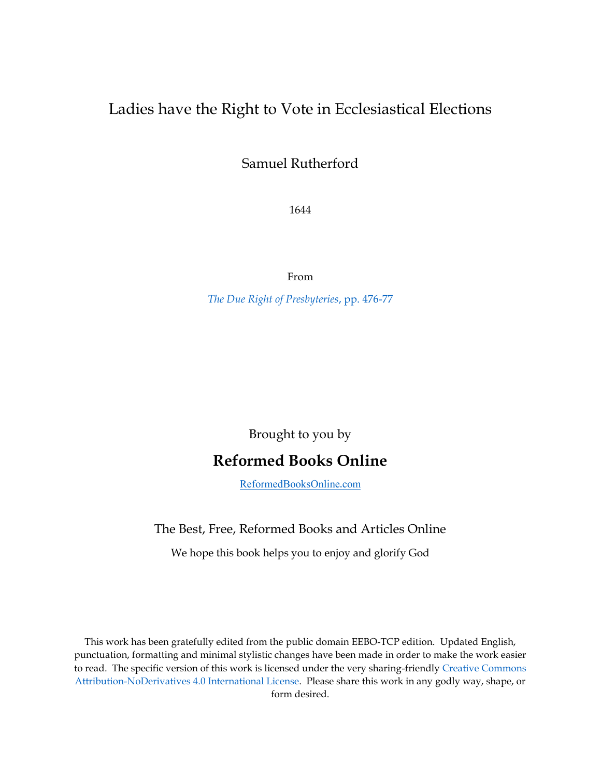# Ladies have the Right to Vote in Ecclesiastical Elections

Samuel Rutherford

1644

From

*[The Due Right of Presbyteries](http://quod.lib.umich.edu/e/eebo/A57969.0001.001/1:6.10.4.7?rgn=div4;view=fulltext)*, pp. 476-77

Brought to you by

# **Reformed Books Online**

[ReformedBooksOnline.com](http://reformedbooksonline.com/)

### The Best, Free, Reformed Books and Articles Online

We hope this book helps you to enjoy and glorify God

This work has been gratefully edited from the public domain EEBO-TCP edition. Updated English, punctuation, formatting and minimal stylistic changes have been made in order to make the work easier to read. The specific version of this work is licensed under the very sharing-friendly [Creative Commons](http://creativecommons.org/licenses/by-nd/4.0/)  [Attribution-NoDerivatives 4.0 International License.](http://creativecommons.org/licenses/by-nd/4.0/) Please share this work in any godly way, shape, or form desired.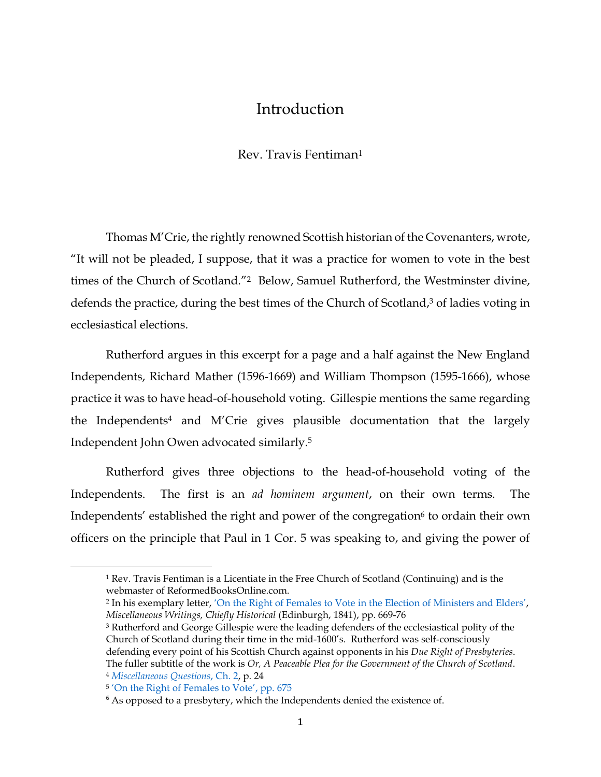## Introduction

#### Rev. Travis Fentiman<sup>1</sup>

Thomas M'Crie, the rightly renowned Scottish historian of the Covenanters, wrote, "It will not be pleaded, I suppose, that it was a practice for women to vote in the best times of the Church of Scotland."2 Below, Samuel Rutherford, the Westminster divine, defends the practice, during the best times of the Church of Scotland, <sup>3</sup> of ladies voting in ecclesiastical elections.

Rutherford argues in this excerpt for a page and a half against the New England Independents, Richard Mather (1596-1669) and William Thompson (1595-1666), whose practice it was to have head-of-household voting. Gillespie mentions the same regarding the Independents<sup>4</sup> and M'Crie gives plausible documentation that the largely Independent John Owen advocated similarly. 5

Rutherford gives three objections to the head-of-household voting of the Independents. The first is an *ad hominem argument*, on their own terms. The Independents' established the right and power of the congregation<sup>6</sup> to ordain their own officers on the principle that Paul in 1 Cor. 5 was speaking to, and giving the power of

 $\overline{\phantom{a}}$ 

<sup>&</sup>lt;sup>1</sup> Rev. Travis Fentiman is a Licentiate in the Free Church of Scotland (Continuing) and is the webmaster of ReformedBooksOnline.com.

<sup>2</sup> In his exemplary letter, 'On the Right of Females to Vote [in the Election of Ministers and Elders](https://archive.org/stream/miscellaneouswri00mcri#page/668/mode/2up)', *Miscellaneous Writings, Chiefly Historical* (Edinburgh, 1841), pp. 669-76

<sup>&</sup>lt;sup>3</sup> Rutherford and George Gillespie were the leading defenders of the ecclesiastical polity of the Church of Scotland during their time in the mid-1600's. Rutherford was self-consciously defending every point of his Scottish Church against opponents in his *Due Right of Presbyteries*. The fuller subtitle of the work is *Or, A Peaceable Plea for the Government of the Church of Scotland*. <sup>4</sup> *[Miscellaneous Questions](http://quod.lib.umich.edu/e/eebo/A42771.0001.001/1:5?rgn=div1;view=fulltext)*, Ch. 2, p. 24

<sup>5</sup> ['On the Right of](https://archive.org/stream/miscellaneouswri00mcri#page/674/mode/2up) Females to Vote', pp. 675

 $6$  As opposed to a presbytery, which the Independents denied the existence of.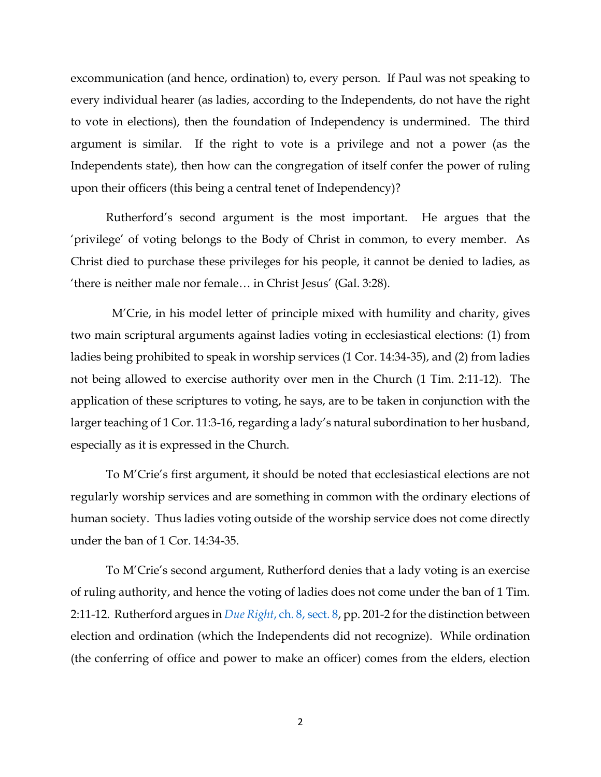excommunication (and hence, ordination) to, every person. If Paul was not speaking to every individual hearer (as ladies, according to the Independents, do not have the right to vote in elections), then the foundation of Independency is undermined. The third argument is similar. If the right to vote is a privilege and not a power (as the Independents state), then how can the congregation of itself confer the power of ruling upon their officers (this being a central tenet of Independency)?

Rutherford's second argument is the most important. He argues that the 'privilege' of voting belongs to the Body of Christ in common, to every member. As Christ died to purchase these privileges for his people, it cannot be denied to ladies, as 'there is neither male nor female… in Christ Jesus' (Gal. 3:28).

M'Crie, in his model letter of principle mixed with humility and charity, gives two main scriptural arguments against ladies voting in ecclesiastical elections: (1) from ladies being prohibited to speak in worship services (1 Cor. 14:34-35), and (2) from ladies not being allowed to exercise authority over men in the Church (1 Tim. 2:11-12). The application of these scriptures to voting, he says, are to be taken in conjunction with the larger teaching of 1 Cor. 11:3-16, regarding a lady's natural subordination to her husband, especially as it is expressed in the Church.

To M'Crie's first argument, it should be noted that ecclesiastical elections are not regularly worship services and are something in common with the ordinary elections of human society. Thus ladies voting outside of the worship service does not come directly under the ban of 1 Cor. 14:34-35.

To M'Crie's second argument, Rutherford denies that a lady voting is an exercise of ruling authority, and hence the voting of ladies does not come under the ban of 1 Tim. 2:11-12. Rutherford argues in *Due Right*[, ch. 8, sect. 8,](http://quod.lib.umich.edu/e/eebo/A57969.0001.001/1:6.8?rgn=div2;view=fulltext) pp. 201-2 forthe distinction between election and ordination (which the Independents did not recognize). While ordination (the conferring of office and power to make an officer) comes from the elders, election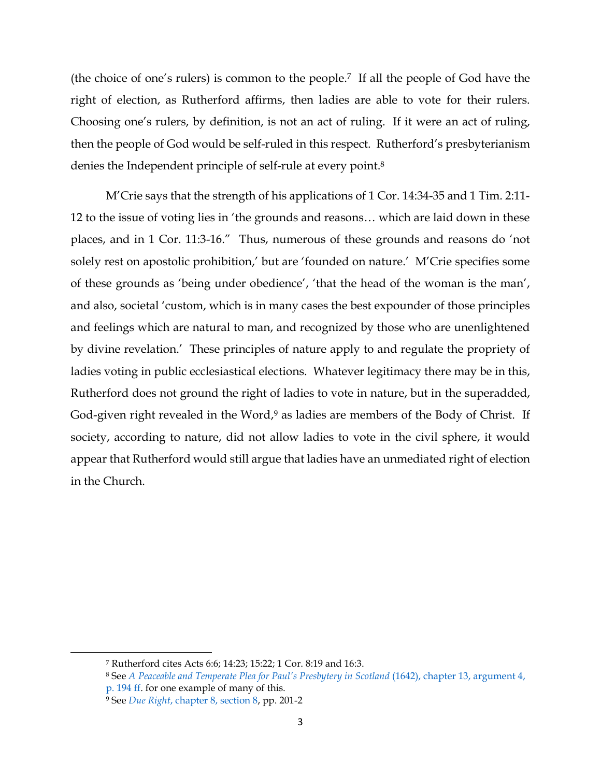(the choice of one's rulers) is common to the people.7 If all the people of God have the right of election, as Rutherford affirms, then ladies are able to vote for their rulers. Choosing one's rulers, by definition, is not an act of ruling. If it were an act of ruling, then the people of God would be self-ruled in this respect. Rutherford's presbyterianism denies the Independent principle of self-rule at every point.<sup>8</sup>

M'Crie says that the strength of his applications of 1 Cor. 14:34-35 and 1 Tim. 2:11- 12 to the issue of voting lies in 'the grounds and reasons… which are laid down in these places, and in 1 Cor. 11:3-16." Thus, numerous of these grounds and reasons do 'not solely rest on apostolic prohibition,' but are 'founded on nature.' M'Crie specifies some of these grounds as 'being under obedience', 'that the head of the woman is the man', and also, societal 'custom, which is in many cases the best expounder of those principles and feelings which are natural to man, and recognized by those who are unenlightened by divine revelation.' These principles of nature apply to and regulate the propriety of ladies voting in public ecclesiastical elections. Whatever legitimacy there may be in this, Rutherford does not ground the right of ladies to vote in nature, but in the superadded, God-given right revealed in the Word,<sup>9</sup> as ladies are members of the Body of Christ. If society, according to nature, did not allow ladies to vote in the civil sphere, it would appear that Rutherford would still argue that ladies have an unmediated right of election in the Church.

 $\overline{\phantom{a}}$ 

<sup>7</sup> Rutherford cites Acts 6:6; 14:23; 15:22; 1 Cor. 8:19 and 16:3.

<sup>8</sup> See *[A Peaceable and Temperate Plea for Paul](https://archive.org/stream/peapera00ruth#page/194/mode/2up)'s Presbytery in Scotland* (1642), chapter 13, argument 4, [p. 194 ff.](https://archive.org/stream/peapera00ruth#page/194/mode/2up) for one example of many of this.

<sup>9</sup> See *Due Right*[, chapter 8, section 8,](http://quod.lib.umich.edu/e/eebo/A57969.0001.001/1:6.8?rgn=div2;view=fulltext) pp. 201-2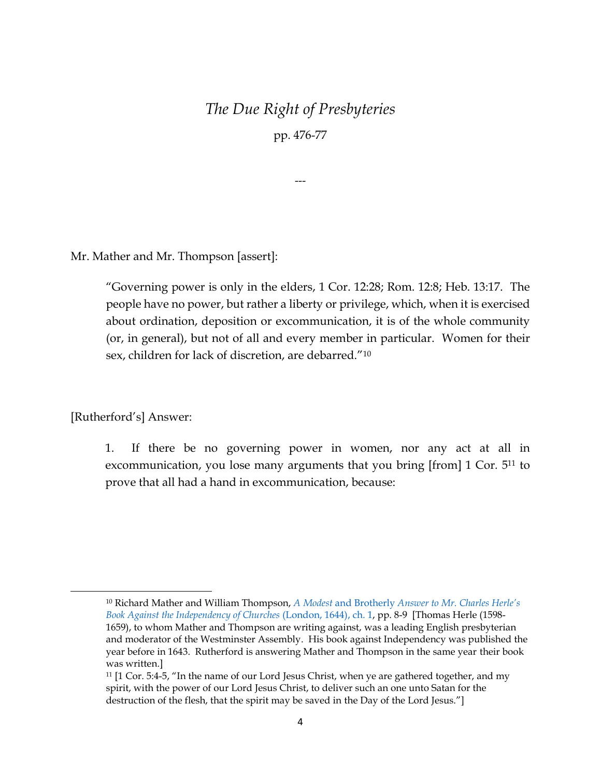# *The Due Right of Presbyteries*

pp. 476-77

---

Mr. Mather and Mr. Thompson [assert]:

"Governing power is only in the elders, 1 Cor. 12:28; Rom. 12:8; Heb. 13:17. The people have no power, but rather a liberty or privilege, which, when it is exercised about ordination, deposition or excommunication, it is of the whole community (or, in general), but not of all and every member in particular. Women for their sex, children for lack of discretion, are debarred."<sup>10</sup>

[Rutherford's] Answer:

 $\overline{a}$ 

1. If there be no governing power in women, nor any act at all in excommunication, you lose many arguments that you bring [from] 1 Cor*.* 5<sup>11</sup> to prove that all had a hand in excommunication, because:

<sup>10</sup> Richard Mather and William Thompson, *A Modest* and Brotherly *[Answer to Mr. Charles Herle](http://quod.lib.umich.edu/e/eebo/A88947.0001.001/1:3.1?c=eebo;c=eebo2;g=eebogroup;rgn=div2;view=fulltext;xc=1;rgn1=title;q1=herle)'s [Book Against the Independency of Churches](http://quod.lib.umich.edu/e/eebo/A88947.0001.001/1:3.1?c=eebo;c=eebo2;g=eebogroup;rgn=div2;view=fulltext;xc=1;rgn1=title;q1=herle)* (London, 1644), ch. 1, pp. 8-9 [Thomas Herle (1598- 1659), to whom Mather and Thompson are writing against, was a leading English presbyterian and moderator of the Westminster Assembly. His book against Independency was published the year before in 1643. Rutherford is answering Mather and Thompson in the same year their book was written.]

<sup>11</sup> [1 Cor. 5:4-5, "In the name of our Lord Jesus Christ, when ye are gathered together, and my spirit, with the power of our Lord Jesus Christ, to deliver such an one unto Satan for the destruction of the flesh, that the spirit may be saved in the Day of the Lord Jesus."]